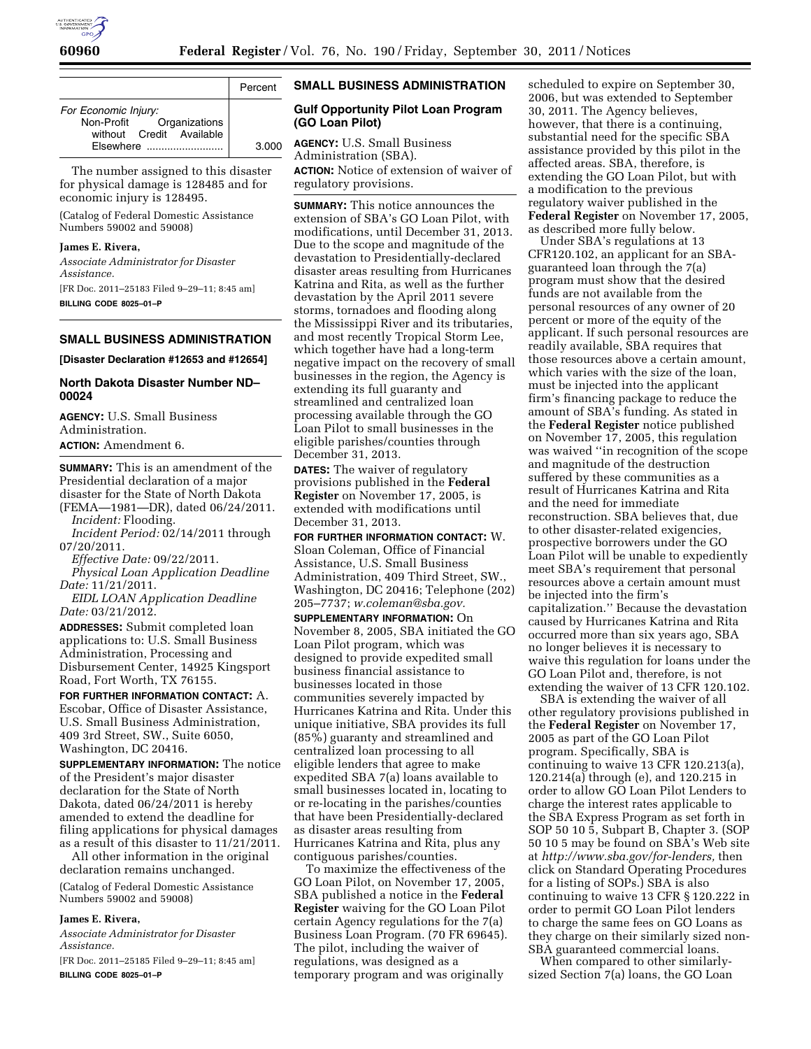

|                                                                                           | Percent |
|-------------------------------------------------------------------------------------------|---------|
| For Economic Injury:<br>Non-Profit Organizations<br>without Credit Available<br>Fisewhere | 3.000   |

The number assigned to this disaster for physical damage is 128485 and for economic injury is 128495.

(Catalog of Federal Domestic Assistance Numbers 59002 and 59008)

## **James E. Rivera,**

*Associate Administrator for Disaster Assistance.* 

[FR Doc. 2011–25183 Filed 9–29–11; 8:45 am] **BILLING CODE 8025–01–P** 

## **SMALL BUSINESS ADMINISTRATION**

**[Disaster Declaration #12653 and #12654]** 

#### **North Dakota Disaster Number ND– 00024**

**AGENCY:** U.S. Small Business Administration. **ACTION:** Amendment 6.

**SUMMARY:** This is an amendment of the Presidential declaration of a major disaster for the State of North Dakota (FEMA—1981—DR), dated 06/24/2011. *Incident:* Flooding.

*Incident Period:* 02/14/2011 through 07/20/2011.

*Effective Date:* 09/22/2011.

*Physical Loan Application Deadline Date:* 11/21/2011.

*EIDL LOAN Application Deadline Date:* 03/21/2012.

**ADDRESSES:** Submit completed loan applications to: U.S. Small Business Administration, Processing and Disbursement Center, 14925 Kingsport Road, Fort Worth, TX 76155.

**FOR FURTHER INFORMATION CONTACT:** A. Escobar, Office of Disaster Assistance, U.S. Small Business Administration, 409 3rd Street, SW., Suite 6050, Washington, DC 20416.

**SUPPLEMENTARY INFORMATION:** The notice of the President's major disaster declaration for the State of North Dakota, dated 06/24/2011 is hereby amended to extend the deadline for filing applications for physical damages as a result of this disaster to 11/21/2011.

All other information in the original declaration remains unchanged.

(Catalog of Federal Domestic Assistance Numbers 59002 and 59008)

#### **James E. Rivera,**

*Associate Administrator for Disaster Assistance.* 

[FR Doc. 2011–25185 Filed 9–29–11; 8:45 am] **BILLING CODE 8025–01–P** 

# **SMALL BUSINESS ADMINISTRATION**

## **Gulf Opportunity Pilot Loan Program (GO Loan Pilot)**

**AGENCY:** U.S. Small Business Administration (SBA). **ACTION:** Notice of extension of waiver of regulatory provisions.

**SUMMARY:** This notice announces the extension of SBA's GO Loan Pilot, with modifications, until December 31, 2013. Due to the scope and magnitude of the devastation to Presidentially-declared disaster areas resulting from Hurricanes Katrina and Rita, as well as the further devastation by the April 2011 severe storms, tornadoes and flooding along the Mississippi River and its tributaries, and most recently Tropical Storm Lee, which together have had a long-term negative impact on the recovery of small businesses in the region, the Agency is extending its full guaranty and streamlined and centralized loan processing available through the GO Loan Pilot to small businesses in the eligible parishes/counties through December 31, 2013.

**DATES:** The waiver of regulatory provisions published in the **Federal Register** on November 17, 2005, is extended with modifications until December 31, 2013.

**FOR FURTHER INFORMATION CONTACT:** W. Sloan Coleman, Office of Financial Assistance, U.S. Small Business Administration, 409 Third Street, SW., Washington, DC 20416; Telephone (202) 205–7737; *[w.coleman@sba.gov.](mailto:w.coleman@sba.gov)* 

**SUPPLEMENTARY INFORMATION:** On November 8, 2005, SBA initiated the GO Loan Pilot program, which was designed to provide expedited small business financial assistance to businesses located in those communities severely impacted by Hurricanes Katrina and Rita. Under this unique initiative, SBA provides its full (85%) guaranty and streamlined and centralized loan processing to all eligible lenders that agree to make expedited SBA 7(a) loans available to small businesses located in, locating to or re-locating in the parishes/counties that have been Presidentially-declared as disaster areas resulting from Hurricanes Katrina and Rita, plus any contiguous parishes/counties.

To maximize the effectiveness of the GO Loan Pilot, on November 17, 2005, SBA published a notice in the **Federal Register** waiving for the GO Loan Pilot certain Agency regulations for the 7(a) Business Loan Program. (70 FR 69645). The pilot, including the waiver of regulations, was designed as a temporary program and was originally

scheduled to expire on September 30, 2006, but was extended to September 30, 2011. The Agency believes, however, that there is a continuing, substantial need for the specific SBA assistance provided by this pilot in the affected areas. SBA, therefore, is extending the GO Loan Pilot, but with a modification to the previous regulatory waiver published in the **Federal Register** on November 17, 2005, as described more fully below.

Under SBA's regulations at 13 CFR120.102, an applicant for an SBAguaranteed loan through the 7(a) program must show that the desired funds are not available from the personal resources of any owner of 20 percent or more of the equity of the applicant. If such personal resources are readily available, SBA requires that those resources above a certain amount, which varies with the size of the loan, must be injected into the applicant firm's financing package to reduce the amount of SBA's funding. As stated in the **Federal Register** notice published on November 17, 2005, this regulation was waived ''in recognition of the scope and magnitude of the destruction suffered by these communities as a result of Hurricanes Katrina and Rita and the need for immediate reconstruction. SBA believes that, due to other disaster-related exigencies, prospective borrowers under the GO Loan Pilot will be unable to expediently meet SBA's requirement that personal resources above a certain amount must be injected into the firm's capitalization.'' Because the devastation caused by Hurricanes Katrina and Rita occurred more than six years ago, SBA no longer believes it is necessary to waive this regulation for loans under the GO Loan Pilot and, therefore, is not extending the waiver of 13 CFR 120.102.

SBA is extending the waiver of all other regulatory provisions published in the **Federal Register** on November 17, 2005 as part of the GO Loan Pilot program. Specifically, SBA is continuing to waive 13 CFR 120.213(a), 120.214(a) through (e), and 120.215 in order to allow GO Loan Pilot Lenders to charge the interest rates applicable to the SBA Express Program as set forth in SOP 50 10 5, Subpart B, Chapter 3. (SOP 50 10 5 may be found on SBA's Web site at *[http://www.sba.gov/for-lenders,](http://www.sba.gov/for-lenders)* then click on Standard Operating Procedures for a listing of SOPs.) SBA is also continuing to waive 13 CFR § 120.222 in order to permit GO Loan Pilot lenders to charge the same fees on GO Loans as they charge on their similarly sized non-SBA guaranteed commercial loans.

When compared to other similarlysized Section 7(a) loans, the GO Loan